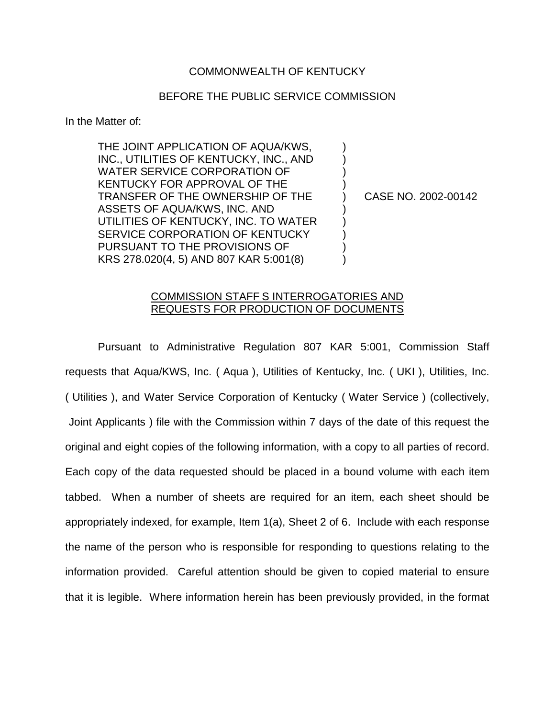## COMMONWEALTH OF KENTUCKY

## BEFORE THE PUBLIC SERVICE COMMISSION

) ) ) )

) ) ) ) )

In the Matter of:

THE JOINT APPLICATION OF AQUA/KWS, INC., UTILITIES OF KENTUCKY, INC., AND WATER SERVICE CORPORATION OF KENTUCKY FOR APPROVAL OF THE TRANSFER OF THE OWNERSHIP OF THE ASSETS OF AQUA/KWS, INC. AND UTILITIES OF KENTUCKY, INC. TO WATER SERVICE CORPORATION OF KENTUCKY PURSUANT TO THE PROVISIONS OF KRS 278.020(4, 5) AND 807 KAR 5:001(8)

) CASE NO. 2002-00142

## COMMISSION STAFF S INTERROGATORIES AND REQUESTS FOR PRODUCTION OF DOCUMENTS

Pursuant to Administrative Regulation 807 KAR 5:001, Commission Staff requests that Aqua/KWS, Inc. ( Aqua ), Utilities of Kentucky, Inc. ( UKI ), Utilities, Inc. ( Utilities ), and Water Service Corporation of Kentucky ( Water Service ) (collectively, Joint Applicants ) file with the Commission within 7 days of the date of this request the original and eight copies of the following information, with a copy to all parties of record. Each copy of the data requested should be placed in a bound volume with each item tabbed. When a number of sheets are required for an item, each sheet should be appropriately indexed, for example, Item 1(a), Sheet 2 of 6. Include with each response the name of the person who is responsible for responding to questions relating to the information provided. Careful attention should be given to copied material to ensure that it is legible. Where information herein has been previously provided, in the format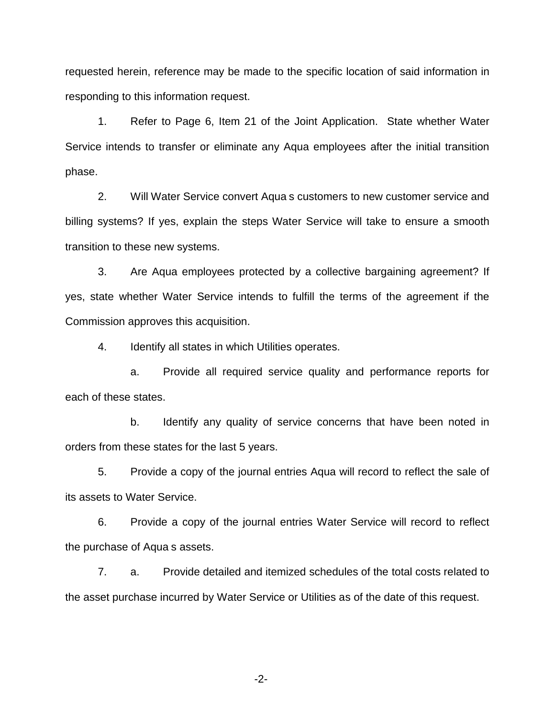requested herein, reference may be made to the specific location of said information in responding to this information request.

1. Refer to Page 6, Item 21 of the Joint Application. State whether Water Service intends to transfer or eliminate any Aqua employees after the initial transition phase.

2. Will Water Service convert Aqua s customers to new customer service and billing systems? If yes, explain the steps Water Service will take to ensure a smooth transition to these new systems.

3. Are Aqua employees protected by a collective bargaining agreement? If yes, state whether Water Service intends to fulfill the terms of the agreement if the Commission approves this acquisition.

4. Identify all states in which Utilities operates.

a. Provide all required service quality and performance reports for each of these states.

b. Identify any quality of service concerns that have been noted in orders from these states for the last 5 years.

5. Provide a copy of the journal entries Aqua will record to reflect the sale of its assets to Water Service.

6. Provide a copy of the journal entries Water Service will record to reflect the purchase of Aqua s assets.

7. a. Provide detailed and itemized schedules of the total costs related to the asset purchase incurred by Water Service or Utilities as of the date of this request.

-2-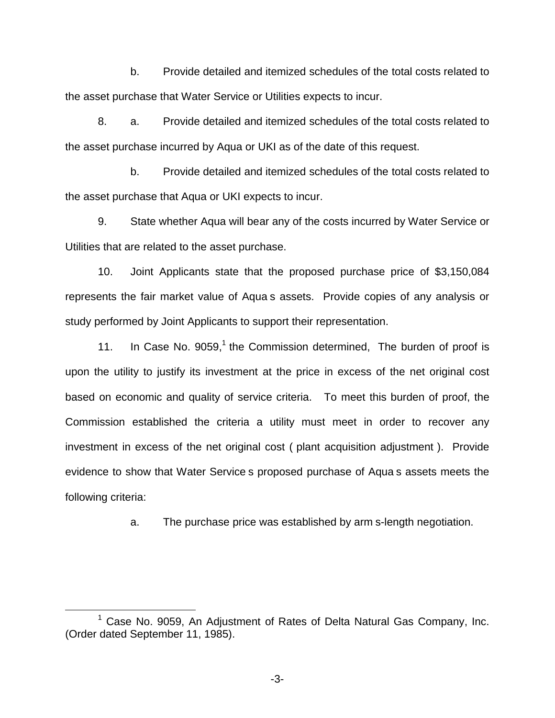b. Provide detailed and itemized schedules of the total costs related to the asset purchase that Water Service or Utilities expects to incur.

8. a. Provide detailed and itemized schedules of the total costs related to the asset purchase incurred by Aqua or UKI as of the date of this request.

b. Provide detailed and itemized schedules of the total costs related to the asset purchase that Aqua or UKI expects to incur.

9. State whether Aqua will bear any of the costs incurred by Water Service or Utilities that are related to the asset purchase.

10. Joint Applicants state that the proposed purchase price of \$3,150,084 represents the fair market value of Aqua s assets. Provide copies of any analysis or study performed by Joint Applicants to support their representation.

11. In Case No.  $9059<sup>1</sup>$ , the Commission determined. The burden of proof is upon the utility to justify its investment at the price in excess of the net original cost based on economic and quality of service criteria. To meet this burden of proof, the Commission established the criteria a utility must meet in order to recover any investment in excess of the net original cost ( plant acquisition adjustment ). Provide evidence to show that Water Service s proposed purchase of Aqua s assets meets the following criteria:

a. The purchase price was established by arm s-length negotiation.

-3-

<sup>&</sup>lt;sup>1</sup> Case No. 9059, An Adjustment of Rates of Delta Natural Gas Company, Inc. (Order dated September 11, 1985).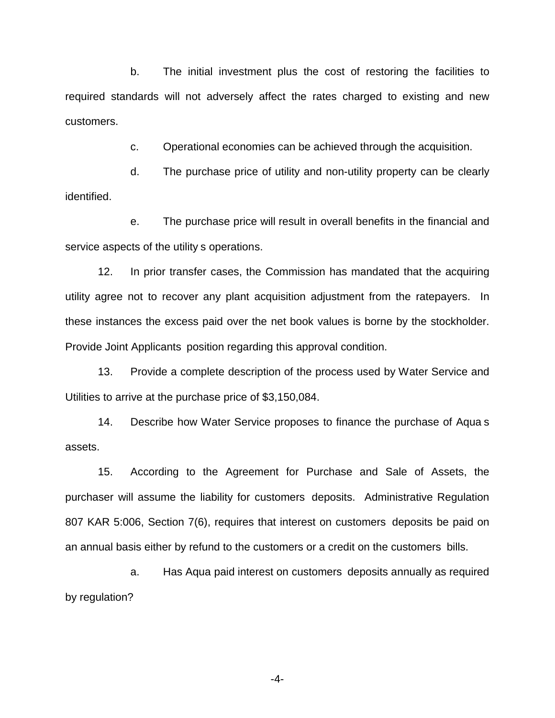b. The initial investment plus the cost of restoring the facilities to required standards will not adversely affect the rates charged to existing and new customers.

c. Operational economies can be achieved through the acquisition.

d. The purchase price of utility and non-utility property can be clearly identified.

e. The purchase price will result in overall benefits in the financial and service aspects of the utility s operations.

12. In prior transfer cases, the Commission has mandated that the acquiring utility agree not to recover any plant acquisition adjustment from the ratepayers. In these instances the excess paid over the net book values is borne by the stockholder. Provide Joint Applicants position regarding this approval condition.

13. Provide a complete description of the process used by Water Service and Utilities to arrive at the purchase price of \$3,150,084.

14. Describe how Water Service proposes to finance the purchase of Aqua s assets.

15. According to the Agreement for Purchase and Sale of Assets, the purchaser will assume the liability for customers deposits. Administrative Regulation 807 KAR 5:006, Section 7(6), requires that interest on customers deposits be paid on an annual basis either by refund to the customers or a credit on the customers bills.

a. Has Aqua paid interest on customers deposits annually as required by regulation?

-4-